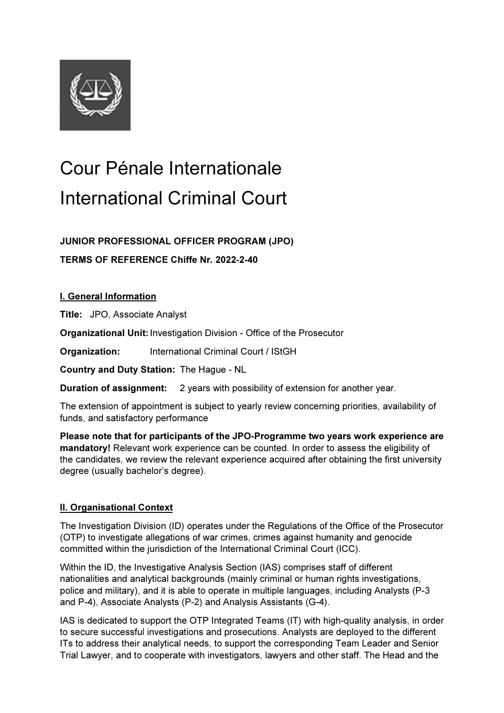

# Cour Pénale Internationale International Criminal Court

JUNIOR PROFESSIONAL OFFICER PROGRAM (JPO)

TERMS OF REFERENCE Chiffe Nr. 2022-2-40

I. General Information

Title: JPO, Associate Analyst

Organizational Unit: Investigation Division - Office of the Prosecutor

Organization: International Criminal Court / IStGH

Country and Duty Station: The Hague - NL

Duration of assignment: 2 years with possibility of extension for another year.

The extension of appointment is subject to yearly review concerning priorities, availability of funds, and satisfactory performance

Please note that for participants of the JPO-Programme two years work experience are mandatory! Relevant work experience can be counted. In order to assess the eligibility of the candidates, we review the relevant experience acquired after obtaining the first university degree (usually bachelor's degree).

# II. Organisational Context

The Investigation Division (ID) operates under the Regulations of the Office of the Prosecutor (OTP) to investigate allegations of war crimes, crimes against humanity and genocide committed within the jurisdiction of the International Criminal Court (ICC).

Within the ID, the Investigative Analysis Section (IAS) comprises staff of different nationalities and analytical backgrounds (mainly criminal or human rights investigations, police and military), and it is able to operate in multiple languages, including Analysts (P-3 and P-4), Associate Analysts (P-2) and Analysis Assistants (G-4).

IAS is dedicated to support the OTP Integrated Teams (IT) with high-quality analysis, in order to secure successful investigations and prosecutions. Analysts are deployed to the different ITs to address their analytical needs, to support the corresponding Team Leader and Senior Trial Lawyer, and to cooperate with investigators, lawyers and other staff. The Head and the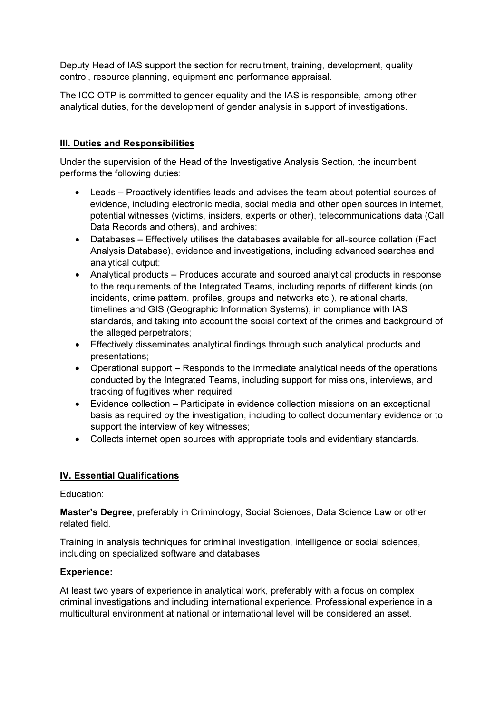Deputy Head of IAS support the section for recruitment, training, development, quality control, resource planning, equipment and performance appraisal.

The ICC OTP is committed to gender equality and the IAS is responsible, among other analytical duties, for the development of gender analysis in support of investigations.

# III. Duties and Responsibilities

Under the supervision of the Head of the Investigative Analysis Section, the incumbent performs the following duties:

- Leads Proactively identifies leads and advises the team about potential sources of evidence, including electronic media, social media and other open sources in internet, potential witnesses (victims, insiders, experts or other), telecommunications data (Call Data Records and others), and archives;
- Databases Effectively utilises the databases available for all-source collation (Fact Analysis Database), evidence and investigations, including advanced searches and analytical output;
- Analytical products Produces accurate and sourced analytical products in response to the requirements of the Integrated Teams, including reports of different kinds (on incidents, crime pattern, profiles, groups and networks etc.), relational charts, timelines and GIS (Geographic Information Systems), in compliance with IAS standards, and taking into account the social context of the crimes and background of the alleged perpetrators;
- Effectively disseminates analytical findings through such analytical products and presentations;
- Operational support Responds to the immediate analytical needs of the operations conducted by the Integrated Teams, including support for missions, interviews, and tracking of fugitives when required;
- Evidence collection Participate in evidence collection missions on an exceptional basis as required by the investigation, including to collect documentary evidence or to support the interview of key witnesses;
- Collects internet open sources with appropriate tools and evidentiary standards.

# IV. Essential Qualifications

Education:

Master's Degree, preferably in Criminology, Social Sciences, Data Science Law or other related field.

Training in analysis techniques for criminal investigation, intelligence or social sciences, including on specialized software and databases

# Experience:

At least two years of experience in analytical work, preferably with a focus on complex criminal investigations and including international experience. Professional experience in a multicultural environment at national or international level will be considered an asset.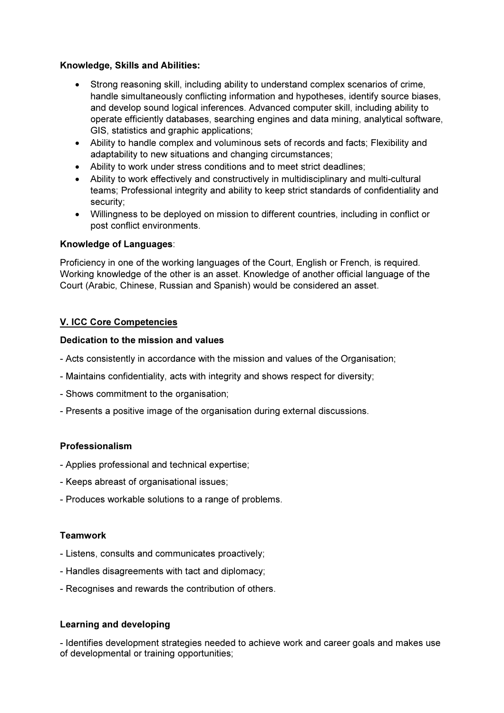# Knowledge, Skills and Abilities:

- Strong reasoning skill, including ability to understand complex scenarios of crime, handle simultaneously conflicting information and hypotheses, identify source biases, and develop sound logical inferences. Advanced computer skill, including ability to operate efficiently databases, searching engines and data mining, analytical software, GIS, statistics and graphic applications;
- Ability to handle complex and voluminous sets of records and facts; Flexibility and adaptability to new situations and changing circumstances;
- Ability to work under stress conditions and to meet strict deadlines;
- Ability to work effectively and constructively in multidisciplinary and multi-cultural teams; Professional integrity and ability to keep strict standards of confidentiality and security;
- Willingness to be deployed on mission to different countries, including in conflict or post conflict environments.

# Knowledge of Languages:

Proficiency in one of the working languages of the Court, English or French, is required. Working knowledge of the other is an asset. Knowledge of another official language of the Court (Arabic, Chinese, Russian and Spanish) would be considered an asset.

# V. ICC Core Competencies

#### Dedication to the mission and values

- Acts consistently in accordance with the mission and values of the Organisation;
- Maintains confidentiality, acts with integrity and shows respect for diversity;
- Shows commitment to the organisation;
- Presents a positive image of the organisation during external discussions.

# Professionalism

- Applies professional and technical expertise;
- Keeps abreast of organisational issues;
- Produces workable solutions to a range of problems.

#### **Teamwork**

- Listens, consults and communicates proactively;
- Handles disagreements with tact and diplomacy;
- Recognises and rewards the contribution of others.

# Learning and developing

- Identifies development strategies needed to achieve work and career goals and makes use of developmental or training opportunities;